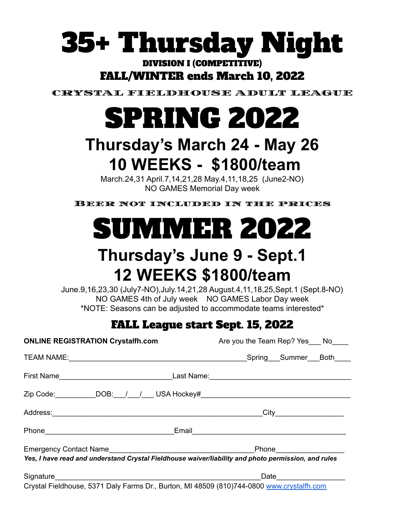# 35+ Thursday Night

### DIVISION I (COMPETITIVE) FALL/WINTER ends March 10, 2022

CRYSTAL FIELDHOUSE ADULT LEAGUE

# SPRING 2022

## **Thursday's March 24 - May 26 10 WEEKS - \$1800/team**

March.24,31 April.7,14,21,28 May.4,11,18,25 (June2-NO) NO GAMES Memorial Day week

Beer not included in the prices



## **Thursday's June 9 - Sept.1 12 WEEKS \$1800/team**

June.9,16,23,30 (July7-NO),July.14,21,28 August.4,11,18,25,Sept.1 (Sept.8-NO) NO GAMES 4th of July week NO GAMES Labor Day week \*NOTE: Seasons can be adjusted to accommodate teams interested\*

### FALL League start Sept. 15, 2022

| <b>ONLINE REGISTRATION Crystalfh.com</b>                                                                                                                                                                                      | Are you the Team Rep? Yes ___ No____                                                                |
|-------------------------------------------------------------------------------------------------------------------------------------------------------------------------------------------------------------------------------|-----------------------------------------------------------------------------------------------------|
|                                                                                                                                                                                                                               |                                                                                                     |
|                                                                                                                                                                                                                               |                                                                                                     |
|                                                                                                                                                                                                                               | Zip Code: ___________DOB:___/___/____ USA Hockey#_______________________________                    |
|                                                                                                                                                                                                                               |                                                                                                     |
| Phone Phone Phone Phone Phone Phone Phone Phone Phone Phone Phone Phone Phone Phone Phone Phone Phone Phone Phone Phone Phone Phone Phone Phone Phone Phone Phone Phone Phone Phone Phone Phone Phone Phone Phone Phone Phone |                                                                                                     |
|                                                                                                                                                                                                                               | Yes, I have read and understand Crystal Fieldhouse waiver/liability and photo permission, and rules |
|                                                                                                                                                                                                                               |                                                                                                     |
|                                                                                                                                                                                                                               | Crystal Fieldhouse, 5371 Daly Farms Dr., Burton, MI 48509 (810)744-0800 www.crystalfh.com           |